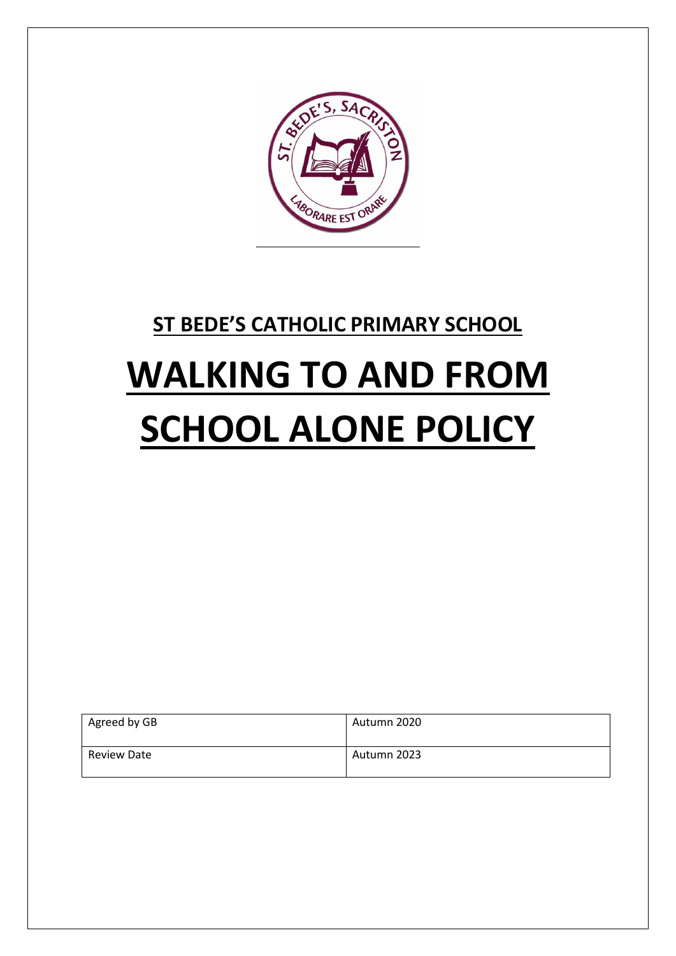

## **ST BEDE'S CATHOLIC PRIMARY SCHOOL**

# **WALKING TO AND FROM SCHOOL ALONE POLICY**

| Agreed by GB       | Autumn 2020 |
|--------------------|-------------|
| <b>Review Date</b> | Autumn 2023 |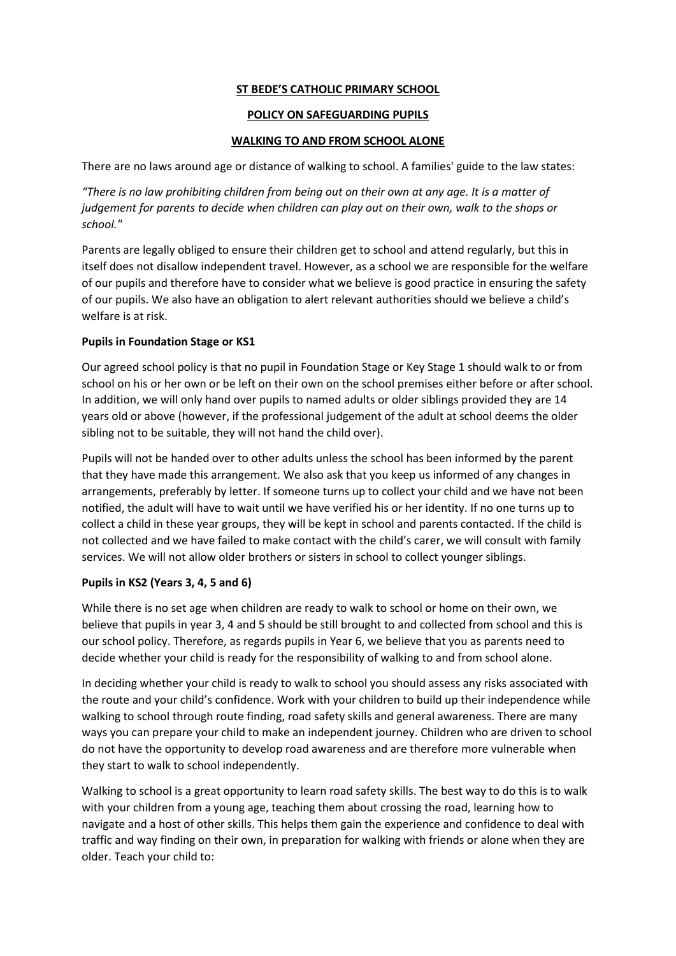#### **ST BEDE'S CATHOLIC PRIMARY SCHOOL**

#### **POLICY ON SAFEGUARDING PUPILS**

#### **WALKING TO AND FROM SCHOOL ALONE**

There are no laws around age or distance of walking to school. A families' guide to the law states:

*"There is no law prohibiting children from being out on their own at any age. It is a matter of judgement for parents to decide when children can play out on their own, walk to the shops or school."* 

Parents are legally obliged to ensure their children get to school and attend regularly, but this in itself does not disallow independent travel. However, as a school we are responsible for the welfare of our pupils and therefore have to consider what we believe is good practice in ensuring the safety of our pupils. We also have an obligation to alert relevant authorities should we believe a child's welfare is at risk.

#### **Pupils in Foundation Stage or KS1**

Our agreed school policy is that no pupil in Foundation Stage or Key Stage 1 should walk to or from school on his or her own or be left on their own on the school premises either before or after school. In addition, we will only hand over pupils to named adults or older siblings provided they are 14 years old or above (however, if the professional judgement of the adult at school deems the older sibling not to be suitable, they will not hand the child over).

Pupils will not be handed over to other adults unless the school has been informed by the parent that they have made this arrangement. We also ask that you keep us informed of any changes in arrangements, preferably by letter. If someone turns up to collect your child and we have not been notified, the adult will have to wait until we have verified his or her identity. If no one turns up to collect a child in these year groups, they will be kept in school and parents contacted. If the child is not collected and we have failed to make contact with the child's carer, we will consult with family services. We will not allow older brothers or sisters in school to collect younger siblings.

#### **Pupils in KS2 (Years 3, 4, 5 and 6)**

While there is no set age when children are ready to walk to school or home on their own, we believe that pupils in year 3, 4 and 5 should be still brought to and collected from school and this is our school policy. Therefore, as regards pupils in Year 6, we believe that you as parents need to decide whether your child is ready for the responsibility of walking to and from school alone.

In deciding whether your child is ready to walk to school you should assess any risks associated with the route and your child's confidence. Work with your children to build up their independence while walking to school through route finding, road safety skills and general awareness. There are many ways you can prepare your child to make an independent journey. Children who are driven to school do not have the opportunity to develop road awareness and are therefore more vulnerable when they start to walk to school independently.

Walking to school is a great opportunity to learn road safety skills. The best way to do this is to walk with your children from a young age, teaching them about crossing the road, learning how to navigate and a host of other skills. This helps them gain the experience and confidence to deal with traffic and way finding on their own, in preparation for walking with friends or alone when they are older. Teach your child to: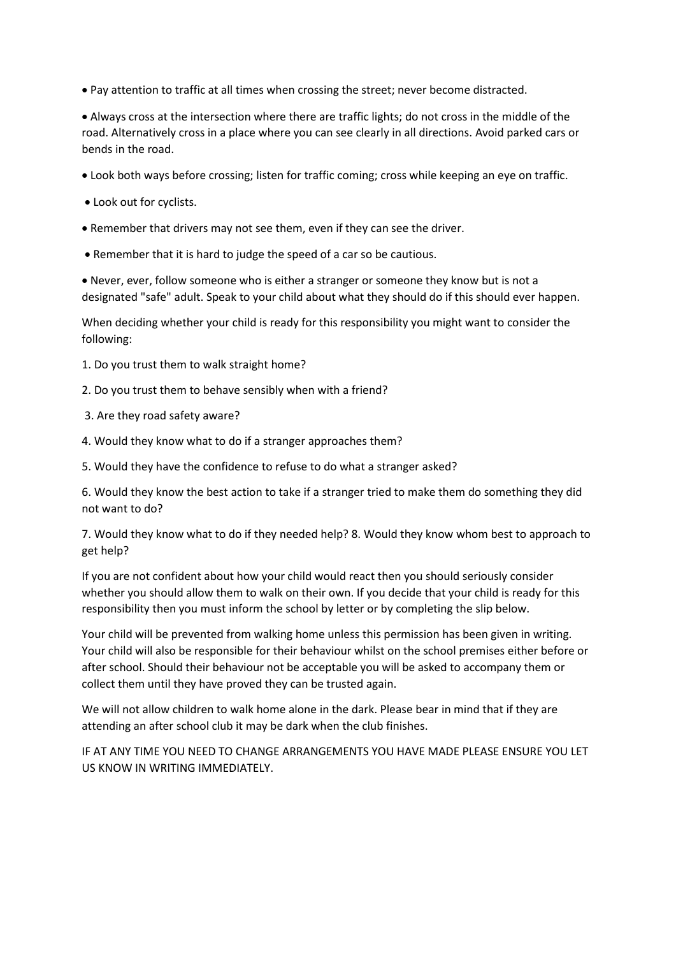• Pay attention to traffic at all times when crossing the street; never become distracted.

• Always cross at the intersection where there are traffic lights; do not cross in the middle of the road. Alternatively cross in a place where you can see clearly in all directions. Avoid parked cars or bends in the road.

- Look both ways before crossing; listen for traffic coming; cross while keeping an eye on traffic.
- Look out for cyclists.
- Remember that drivers may not see them, even if they can see the driver.
- Remember that it is hard to judge the speed of a car so be cautious.

• Never, ever, follow someone who is either a stranger or someone they know but is not a designated "safe" adult. Speak to your child about what they should do if this should ever happen.

When deciding whether your child is ready for this responsibility you might want to consider the following:

- 1. Do you trust them to walk straight home?
- 2. Do you trust them to behave sensibly when with a friend?
- 3. Are they road safety aware?
- 4. Would they know what to do if a stranger approaches them?
- 5. Would they have the confidence to refuse to do what a stranger asked?

6. Would they know the best action to take if a stranger tried to make them do something they did not want to do?

7. Would they know what to do if they needed help? 8. Would they know whom best to approach to get help?

If you are not confident about how your child would react then you should seriously consider whether you should allow them to walk on their own. If you decide that your child is ready for this responsibility then you must inform the school by letter or by completing the slip below.

Your child will be prevented from walking home unless this permission has been given in writing. Your child will also be responsible for their behaviour whilst on the school premises either before or after school. Should their behaviour not be acceptable you will be asked to accompany them or collect them until they have proved they can be trusted again.

We will not allow children to walk home alone in the dark. Please bear in mind that if they are attending an after school club it may be dark when the club finishes.

IF AT ANY TIME YOU NEED TO CHANGE ARRANGEMENTS YOU HAVE MADE PLEASE ENSURE YOU LET US KNOW IN WRITING IMMEDIATELY.